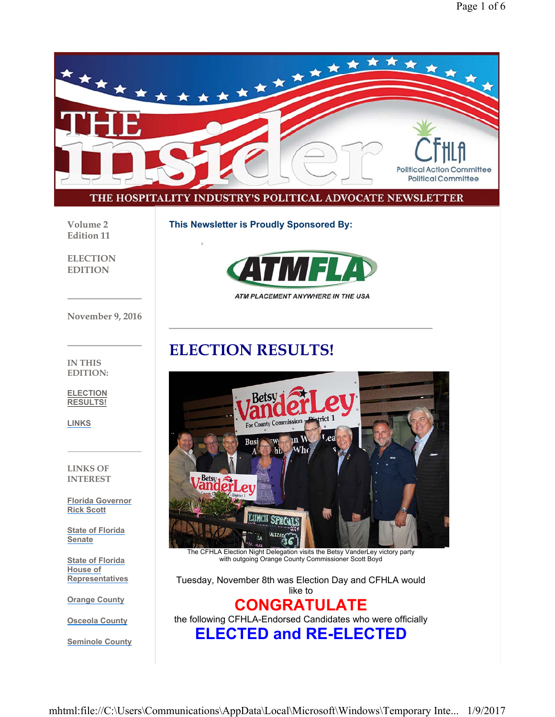

**Volume 2 Edition 11**

**This Newsletter is Proudly Sponsored By:**

**ELECTION EDITION**



ATM PLACEMENT ANYWHERE IN THE USA

**November 9, 2016**

## **ELECTION RESULTS!**



**ELECTION RESULTS!**

**LINKS**

**LINKS OF INTEREST**

**Florida Governor Rick Scott**

**State of Florida Senate**

**State of Florida House of Representatives**

**Orange County**

**Osceola County**

**Seminole County**



with outgoing Orange County Commissioner Scott Boyd

Tuesday, November 8th was Election Day and CFHLA would like to

## **CONGRATULATE**

the following CFHLA-Endorsed Candidates who were officially

**ELECTED and RE-ELECTED**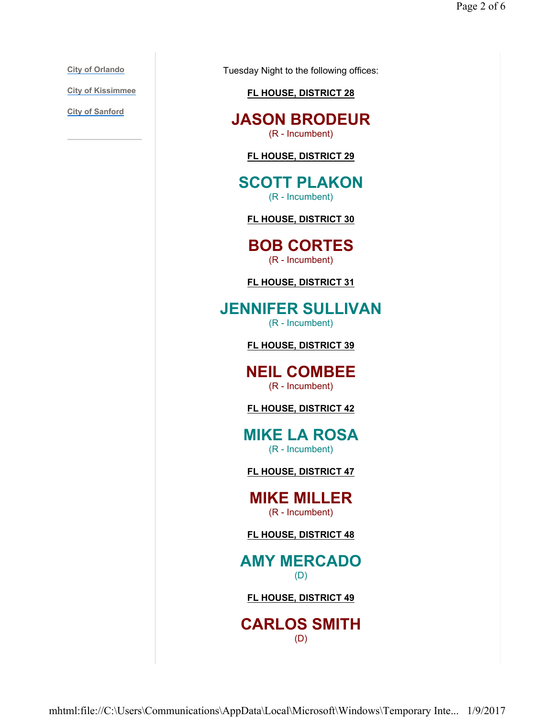**City of Orlando**

**City of Kissimmee**

**City of Sanford**

Tuesday Night to the following offices:

#### **FL HOUSE, DISTRICT 28**

**JASON BRODEUR** (R - Incumbent)

**FL HOUSE, DISTRICT 29**

**SCOTT PLAKON** (R - Incumbent)

**FL HOUSE, DISTRICT 30**

**BOB CORTES** (R - Incumbent)

**FL HOUSE, DISTRICT 31**

**JENNIFER SULLIVAN** (R - Incumbent)

**FL HOUSE, DISTRICT 39**

**NEIL COMBEE** (R - Incumbent)

**FL HOUSE, DISTRICT 42**

**MIKE LA ROSA** (R - Incumbent)

**FL HOUSE, DISTRICT 47**

**MIKE MILLER** (R - Incumbent)

**FL HOUSE, DISTRICT 48**

**AMY MERCADO** (D)

**FL HOUSE, DISTRICT 49**

**CARLOS SMITH** (D)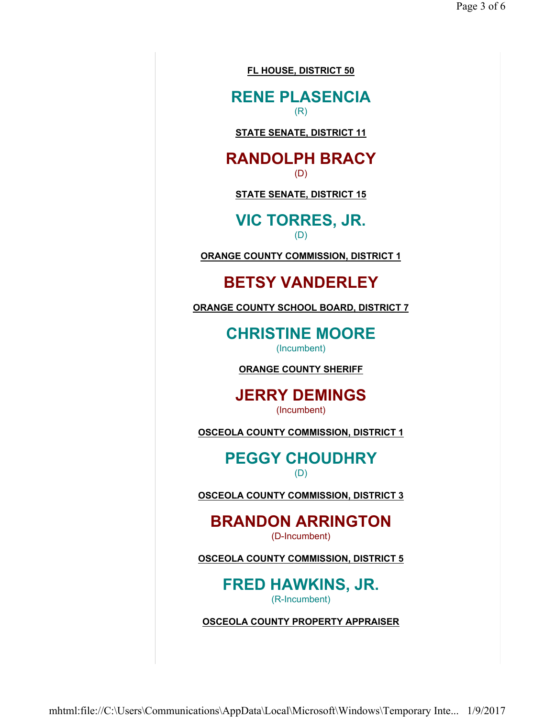**FL HOUSE, DISTRICT 50**

**RENE PLASENCIA** (R)

**STATE SENATE, DISTRICT 11**

#### **RANDOLPH BRACY** (D)

**STATE SENATE, DISTRICT 15**

**VIC TORRES, JR.** (D)

**ORANGE COUNTY COMMISSION, DISTRICT 1**

### **BETSY VANDERLEY**

**ORANGE COUNTY SCHOOL BOARD, DISTRICT 7**

**CHRISTINE MOORE** (Incumbent)

**ORANGE COUNTY SHERIFF**

**JERRY DEMINGS** (Incumbent)

**OSCEOLA COUNTY COMMISSION, DISTRICT 1**

**PEGGY CHOUDHRY** (D)

**OSCEOLA COUNTY COMMISSION, DISTRICT 3**

#### **BRANDON ARRINGTON** (D-Incumbent)

**OSCEOLA COUNTY COMMISSION, DISTRICT 5**

**FRED HAWKINS, JR.** (R-Incumbent)

**OSCEOLA COUNTY PROPERTY APPRAISER**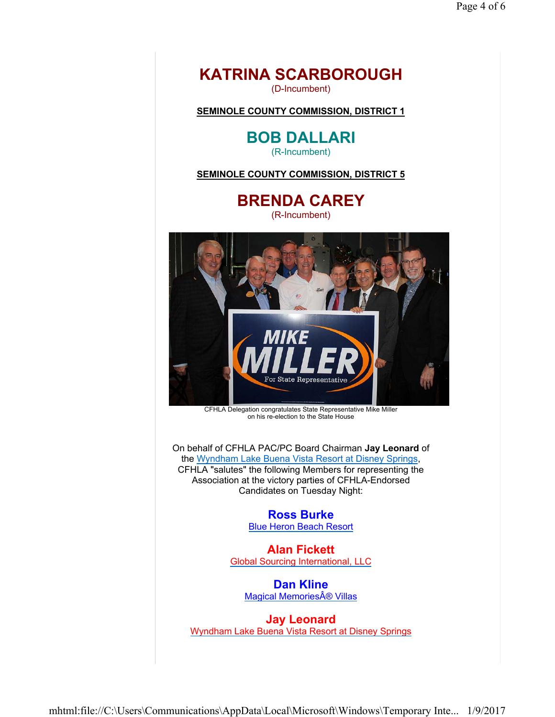

(D-Incumbent)

**SEMINOLE COUNTY COMMISSION, DISTRICT 1**

**BOB DALLARI** (R-Incumbent)

**SEMINOLE COUNTY COMMISSION, DISTRICT 5**

**BRENDA CAREY** (R-Incumbent)



CFHLA Delegation congratulates State Representative Mike Miller on his re-election to the State House

On behalf of CFHLA PAC/PC Board Chairman **Jay Leonard** of the Wyndham Lake Buena Vista Resort at Disney Springs, CFHLA "salutes" the following Members for representing the Association at the victory parties of CFHLA-Endorsed Candidates on Tuesday Night:

> **Ross Burke** Blue Heron Beach Resort

**Alan Fickett** Global Sourcing International, LLC

**Dan Kline** Magical Memories® Villas

**Jay Leonard** Wyndham Lake Buena Vista Resort at Disney Springs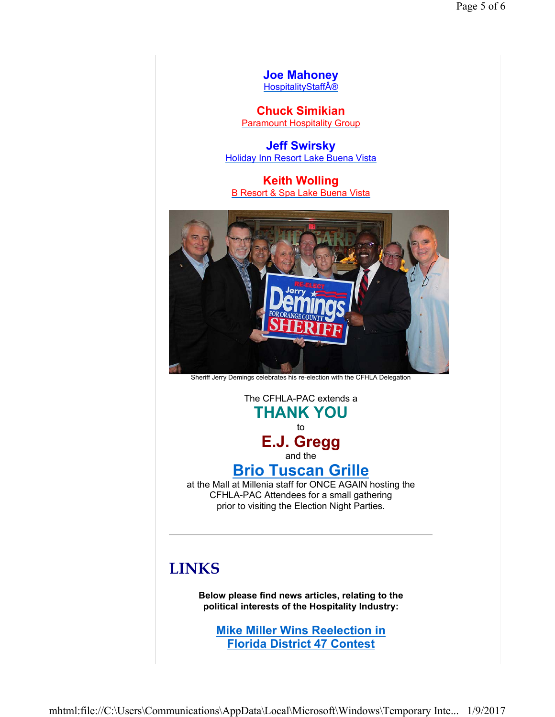**Joe Mahoney HospitalityStaff®** 

**Chuck Simikian** Paramount Hospitality Group

**Jeff Swirsky** Holiday Inn Resort Lake Buena Vista

**Keith Wolling** B Resort & Spa Lake Buena Vista



Sheriff Jerry Demings celebrates his re-election with the CFHLA Delegation

The CFHLA-PAC extends a **THANK YOU** to **E.J. Gregg** and the

## **Brio Tuscan Grille**

at the Mall at Millenia staff for ONCE AGAIN hosting the CFHLA-PAC Attendees for a small gathering prior to visiting the Election Night Parties.

# **LINKS**

**Below please find news articles, relating to the political interests of the Hospitality Industry:**

**Mike Miller Wins Reelection in Florida District 47 Contest**